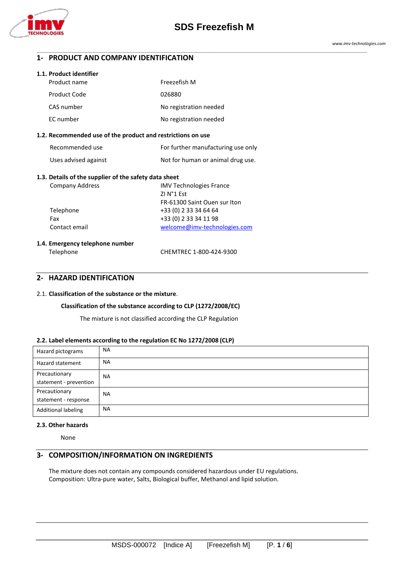

\_\_\_\_\_\_\_\_\_\_\_\_\_\_\_\_\_\_\_\_\_\_\_\_\_\_\_\_\_\_\_\_\_\_\_\_\_\_\_\_\_\_\_\_\_\_\_\_\_\_\_\_\_\_\_\_\_\_\_\_\_\_\_\_\_\_\_\_\_\_\_\_\_\_\_\_\_\_\_\_\_\_\_\_\_\_\_\_\_\_\_\_\_\_\_\_\_\_\_\_\_\_\_\_\_\_\_\_\_\_\_\_\_\_\_\_\_\_\_\_\_\_\_\_\_\_\_\_\_\_\_\_\_\_\_\_\_\_\_\_\_\_\_\_\_\_\_\_\_\_\_\_\_\_\_\_\_\_\_\_\_\_\_\_\_\_\_\_\_\_\_\_\_\_\_

### **1- PRODUCT AND COMPANY IDENTIFICATION**

#### **1.1. Product identifier**

| Product name | Freezefish M           |
|--------------|------------------------|
| Product Code | 026880                 |
| CAS number   | No registration needed |
| EC number    | No registration needed |

#### **1.2. Recommended use of the product and restrictions on use**

| Recommended use      | For further manufacturing use only |
|----------------------|------------------------------------|
| Uses advised against | Not for human or animal drug use.  |

#### **1.3. Details of the supplier of the safety data sheet**

| <b>Company Address</b>          | <b>IMV Technologies France</b> |
|---------------------------------|--------------------------------|
|                                 | ZI N°1 Est                     |
|                                 | FR-61300 Saint Ouen sur Iton   |
| Telephone                       | +33 (0) 2 33 34 64 64          |
| Fax                             | +33 (0) 2 33 34 11 98          |
| Contact email                   | welcome@imv-technologies.com   |
|                                 |                                |
| 1.4. Emergency telephone number |                                |

Telephone CHEMTREC 1-800-424-9300

# **2- HAZARD IDENTIFICATION**

### 2.1. **Classification of the substance or the mixture**.

#### **Classification of the substance according to CLP (1272/2008/EC)**

The mixture is not classified according the CLP Regulation

#### **2.2. Label elements according to the regulation EC No 1272/2008 (CLP)**

| Hazard pictograms          | <b>NA</b> |
|----------------------------|-----------|
| Hazard statement           | <b>NA</b> |
| Precautionary              | <b>NA</b> |
| statement - prevention     |           |
| Precautionary              | <b>NA</b> |
| statement - response       |           |
| <b>Additional labeling</b> | <b>NA</b> |

#### **2.3. Other hazards**

None

### **3- COMPOSITION/INFORMATION ON INGREDIENTS**

The mixture does not contain any compounds considered hazardous under EU regulations. Composition: Ultra-pure water, Salts, Biological buffer, Methanol and lipid solution.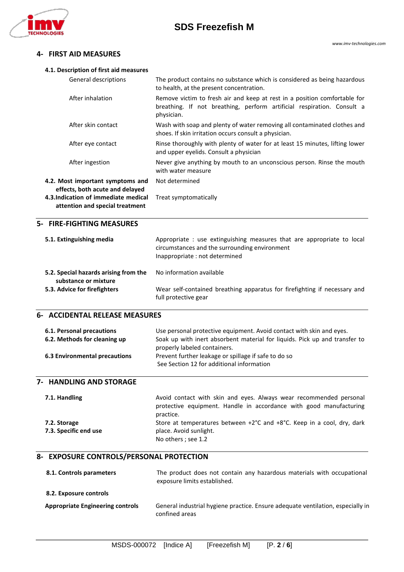

# **SDS Freezefish M**

# **4- FIRST AID MEASURES**

| 4.1. Description of first aid measures                                                                    |                                                                                                                                                                   |
|-----------------------------------------------------------------------------------------------------------|-------------------------------------------------------------------------------------------------------------------------------------------------------------------|
| General descriptions                                                                                      | The product contains no substance which is considered as being hazardous<br>to health, at the present concentration.                                              |
| After inhalation                                                                                          | Remove victim to fresh air and keep at rest in a position comfortable for<br>breathing. If not breathing, perform artificial respiration. Consult a<br>physician. |
| After skin contact                                                                                        | Wash with soap and plenty of water removing all contaminated clothes and<br>shoes. If skin irritation occurs consult a physician.                                 |
| After eye contact                                                                                         | Rinse thoroughly with plenty of water for at least 15 minutes, lifting lower<br>and upper eyelids. Consult a physician                                            |
| After ingestion                                                                                           | Never give anything by mouth to an unconscious person. Rinse the mouth<br>with water measure                                                                      |
| 4.2. Most important symptoms and                                                                          | Not determined                                                                                                                                                    |
| effects, both acute and delayed<br>4.3.Indication of immediate medical<br>attention and special treatment | Treat symptomatically                                                                                                                                             |
| 5- FIRE-FIGHTING MEASURES                                                                                 |                                                                                                                                                                   |
| 5.1. Extinguishing media                                                                                  | Appropriate : use extinguishing measures that are appropriate to local<br>circumstances and the surrounding environment<br>Inappropriate : not determined         |
| 5.2. Special hazards arising from the                                                                     | No information available                                                                                                                                          |
| substance or mixture                                                                                      |                                                                                                                                                                   |
| 5.3. Advice for firefighters                                                                              | Wear self-contained breathing apparatus for firefighting if necessary and<br>full protective gear                                                                 |
| <b>6- ACCIDENTAL RELEASE MEASURES</b>                                                                     |                                                                                                                                                                   |
| 6.1. Personal precautions                                                                                 | Use personal protective equipment. Avoid contact with skin and eyes.                                                                                              |
| 6.2. Methods for cleaning up                                                                              | Soak up with inert absorbent material for liquids. Pick up and transfer to                                                                                        |
| <b>6.3 Environmental precautions</b>                                                                      | properly labeled containers.<br>Prevent further leakage or spillage if safe to do so                                                                              |
|                                                                                                           | See Section 12 for additional information                                                                                                                         |
| 7- HANDLING AND STORAGE                                                                                   |                                                                                                                                                                   |
| 7.1. Handling                                                                                             | Avoid contact with skin and eyes. Always wear recommended personal<br>protective equipment. Handle in accordance with good manufacturing<br>practice.             |
| 7.2. Storage                                                                                              | Store at temperatures between +2°C and +8°C. Keep in a cool, dry, dark                                                                                            |
| 7.3. Specific end use                                                                                     | place. Avoid sunlight.<br>No others ; see 1.2                                                                                                                     |
| 8- EXPOSURE CONTROLS/PERSONAL PROTECTION                                                                  |                                                                                                                                                                   |
| 8.1. Controls parameters                                                                                  | The product does not contain any hazardous materials with occupational<br>exposure limits established.                                                            |
| 8.2. Exposure controls                                                                                    |                                                                                                                                                                   |
| <b>Appropriate Engineering controls</b>                                                                   | General industrial hygiene practice. Ensure adequate ventilation, especially in<br>confined areas                                                                 |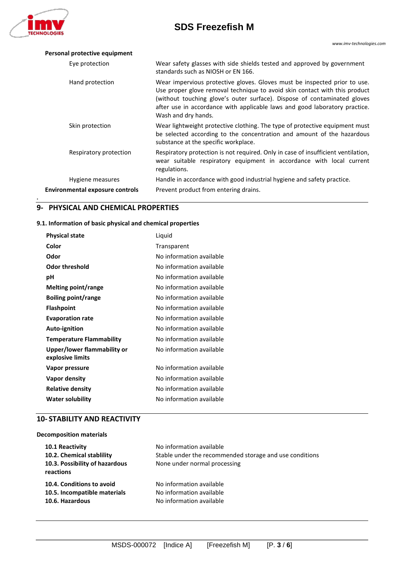

**.**

# **SDS Freezefish M**

| Personal protective equipment          |                                                                                                                                                                                                                                                                                                                                          |
|----------------------------------------|------------------------------------------------------------------------------------------------------------------------------------------------------------------------------------------------------------------------------------------------------------------------------------------------------------------------------------------|
| Eye protection                         | Wear safety glasses with side shields tested and approved by government<br>standards such as NIOSH or EN 166.                                                                                                                                                                                                                            |
| Hand protection                        | Wear impervious protective gloves. Gloves must be inspected prior to use.<br>Use proper glove removal technique to avoid skin contact with this product<br>(without touching glove's outer surface). Dispose of contaminated gloves<br>after use in accordance with applicable laws and good laboratory practice.<br>Wash and dry hands. |
| Skin protection                        | Wear lightweight protective clothing. The type of protective equipment must<br>be selected according to the concentration and amount of the hazardous<br>substance at the specific workplace.                                                                                                                                            |
| Respiratory protection                 | Respiratory protection is not required. Only in case of insufficient ventilation,<br>wear suitable respiratory equipment in accordance with local current<br>regulations.                                                                                                                                                                |
| Hygiene measures                       | Handle in accordance with good industrial hygiene and safety practice.                                                                                                                                                                                                                                                                   |
| <b>Environmental exposure controls</b> | Prevent product from entering drains.                                                                                                                                                                                                                                                                                                    |

# **9- PHYSICAL AND CHEMICAL PROPERTIES**

### **9.1. Information of basic physical and chemical properties**

| <b>Physical state</b>                           | Liquid                   |
|-------------------------------------------------|--------------------------|
| Color                                           | Transparent              |
| Odor                                            | No information available |
| <b>Odor threshold</b>                           | No information available |
| рH                                              | No information available |
| Melting point/range                             | No information available |
| <b>Boiling point/range</b>                      | No information available |
| <b>Flashpoint</b>                               | No information available |
| <b>Evaporation rate</b>                         | No information available |
| Auto-ignition                                   | No information available |
| <b>Temperature Flammability</b>                 | No information available |
| Upper/lower flammability or<br>explosive limits | No information available |
| Vapor pressure                                  | No information available |
| Vapor density                                   | No information available |
| <b>Relative density</b>                         | No information available |
| <b>Water solubility</b>                         | No information available |

# **10- STABILITY AND REACTIVITY**

#### **Decomposition materials**

| <b>10.1 Reactivity</b><br>10.2. Chemical stablility<br>10.3. Possibility of hazardous<br>reactions | No information available<br>Stable under the recommended storage and use conditions<br>None under normal processing |
|----------------------------------------------------------------------------------------------------|---------------------------------------------------------------------------------------------------------------------|
| 10.4. Conditions to avoid                                                                          | No information available                                                                                            |
| 10.5. Incompatible materials                                                                       | No information available                                                                                            |
| 10.6. Hazardous                                                                                    | No information available                                                                                            |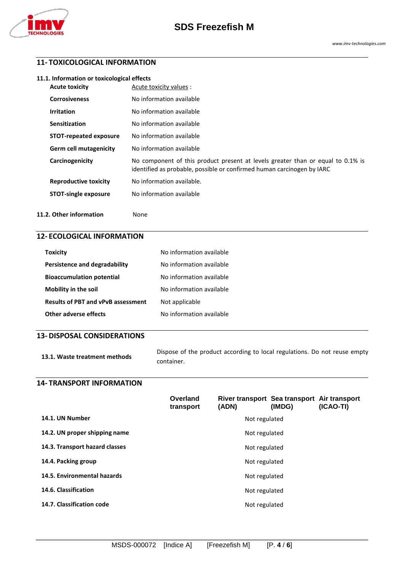

# **11- TOXICOLOGICAL INFORMATION**

| <b>Acute toxicity</b>         | Acute toxicity values :                                                                                                                                   |
|-------------------------------|-----------------------------------------------------------------------------------------------------------------------------------------------------------|
| <b>Corrosiveness</b>          | No information available                                                                                                                                  |
| <b>Irritation</b>             | No information available                                                                                                                                  |
| Sensitization                 | No information available                                                                                                                                  |
| <b>STOT-repeated exposure</b> | No information available                                                                                                                                  |
| <b>Germ cell mutagenicity</b> | No information available                                                                                                                                  |
| Carcinogenicity               | No component of this product present at levels greater than or equal to 0.1% is<br>identified as probable, possible or confirmed human carcinogen by IARC |
| <b>Reproductive toxicity</b>  | No information available.                                                                                                                                 |
| <b>STOT-single exposure</b>   | No information available                                                                                                                                  |
|                               |                                                                                                                                                           |

# 11.2. Other information None

# **12- ECOLOGICAL INFORMATION**

| <b>Toxicity</b>                           | No information available |
|-------------------------------------------|--------------------------|
| Persistence and degradability             | No information available |
| <b>Bioaccumulation potential</b>          | No information available |
| Mobility in the soil                      | No information available |
| <b>Results of PBT and vPvB assessment</b> | Not applicable           |
| Other adverse effects                     | No information available |

### **13- DISPOSAL CONSIDERATIONS**

| 13.1. Waste treatment methods | Dispose of the product according to local regulations. Do not reuse empty |
|-------------------------------|---------------------------------------------------------------------------|
|                               | container.                                                                |

# **14- TRANSPORT INFORMATION**

|                                | Overland<br>transport | River transport Sea transport Air transport<br>(ADN) | (IMDG) | (ICAO-TI) |
|--------------------------------|-----------------------|------------------------------------------------------|--------|-----------|
| 14.1. UN Number                | Not regulated         |                                                      |        |           |
| 14.2. UN proper shipping name  | Not regulated         |                                                      |        |           |
| 14.3. Transport hazard classes |                       | Not regulated                                        |        |           |
| 14.4. Packing group            |                       | Not regulated                                        |        |           |
| 14.5. Environmental hazards    |                       | Not regulated                                        |        |           |
| 14.6. Classification           |                       | Not regulated                                        |        |           |
| 14.7. Classification code      |                       | Not regulated                                        |        |           |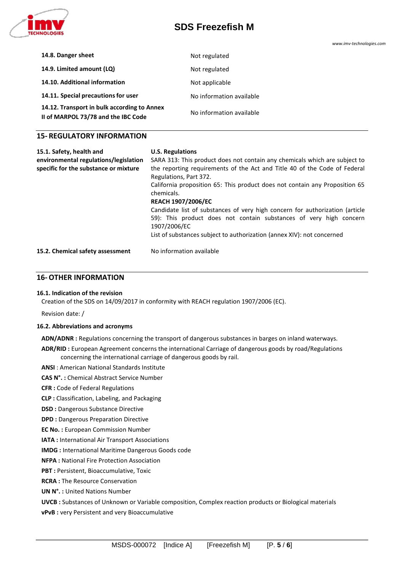

# **SDS Freezefish M**

*www.imv-technologies.com*

| Not regulated            |
|--------------------------|
| Not regulated            |
| Not applicable           |
| No information available |
| No information available |
|                          |

### **15- REGULATORY INFORMATION**

| 15.1. Safety, health and              | <b>U.S. Regulations</b>                                                                                                                                            |
|---------------------------------------|--------------------------------------------------------------------------------------------------------------------------------------------------------------------|
| environmental regulations/legislation | SARA 313: This product does not contain any chemicals which are subject to                                                                                         |
| specific for the substance or mixture | the reporting requirements of the Act and Title 40 of the Code of Federal                                                                                          |
|                                       | Regulations, Part 372.                                                                                                                                             |
|                                       | California proposition 65: This product does not contain any Proposition 65<br>chemicals.                                                                          |
|                                       | <b>REACH 1907/2006/EC</b>                                                                                                                                          |
|                                       | Candidate list of substances of very high concern for authorization (article<br>59): This product does not contain substances of very high concern<br>1907/2006/EC |
|                                       | List of substances subject to authorization (annex XIV): not concerned                                                                                             |
|                                       |                                                                                                                                                                    |
| 15.2. Chemical safety assessment      | No information available                                                                                                                                           |

## **16-OTHER INFORMATION**

#### **16.1. Indication of the revision**

Creation of the SDS on 14/09/2017 in conformity with REACH regulation 1907/2006 (EC).

Revision date: /

#### **16.2. Abbreviations and acronyms**

**ADN/ADNR :** Regulations concerning the transport of dangerous substances in barges on inland waterways.

**ADR/RID :** European Agreement concerns the international Carriage of dangerous goods by road/Regulations concerning the international carriage of dangerous goods by rail.

**ANSI** : American National Standards Institute

**CAS N°. :** Chemical Abstract Service Number

**CFR :** Code of Federal Regulations

**CLP :** Classification, Labeling, and Packaging

**DSD :** Dangerous Substance Directive

**DPD :** Dangerous Preparation Directive

**EC No. :** European Commission Number

**IATA :** International Air Transport Associations

**IMDG :** International Maritime Dangerous Goods code

**NFPA :** National Fire Protection Association

**PBT :** Persistent, Bioaccumulative, Toxic

**RCRA :** The Resource Conservation

**UN N°. :** United Nations Number

**UVCB :** Substances of Unknown or Variable composition, Complex reaction products or Biological materials

**vPvB :** very Persistent and very Bioaccumulative